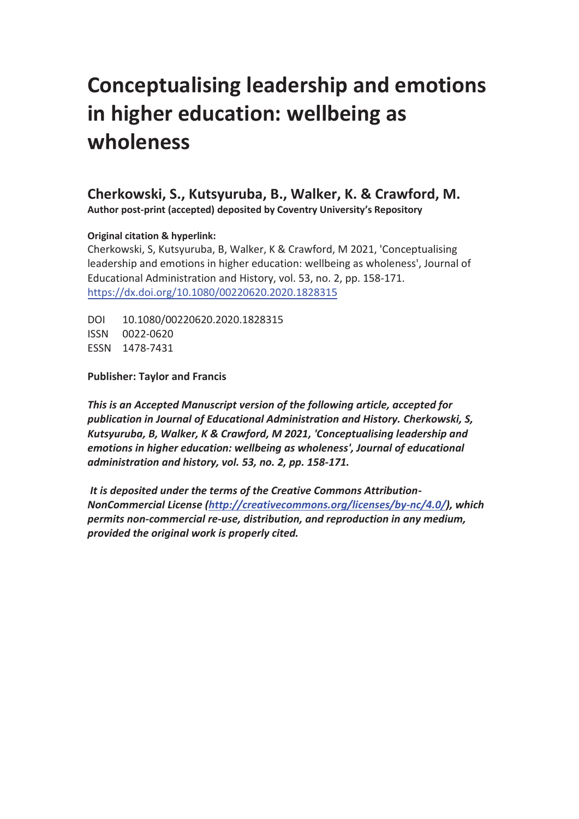# **Conceptualising leadership and emotions in higher education: wellbeing as wholeness**

**Cherkowski, S., Kutsyuruba, B., Walker, K. & Crawford, M. Author post-print (accepted) deposited by Coventry University's Repository** 

# **Original citation & hyperlink:**

Cherkowski, S, Kutsyuruba, B, Walker, K & Crawford, M 2021, 'Conceptualising leadership and emotions in higher education: wellbeing as wholeness', Journal of Educational Administration and History, vol. 53, no. 2, pp. 158-171. https://dx.doi.org/10.1080/00220620.2020.1828315

DOI 10.1080/00220620.2020.1828315 ISSN 0022-0620 ESSN 1478-7431

**Publisher: Taylor and Francis** 

*This is an Accepted Manuscript version of the following article, accepted for publication in Journal of ducational dministration and ,istory. Cherkowski, S, Kutsyuruba, B, Walker, K & Crawford, M 2021, 'Conceptualising leadership and emotions in higher education: wellbeing as wholeness', Journal of educational administration and history, vol. 53, no. 2, pp. 158-171.* 

 *It is deposited under the terms of the Creative Commons Attribution-NonCommercial License (http://creativecommons.org/licenses/by-nc/4.0/), which permits non-commercial re-use, distribution, and reproduction in any medium, provided the original work is properly cited.*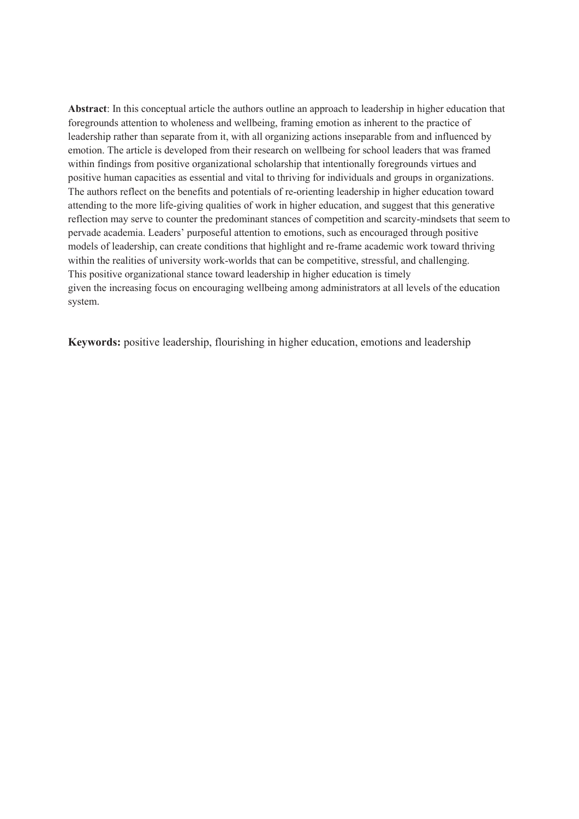**Abstract**: In this conceptual article the authors outline an approach to leadership in higher education that foregrounds attention to wholeness and wellbeing, framing emotion as inherent to the practice of leadership rather than separate from it, with all organizing actions inseparable from and influenced by emotion. The article is developed from their research on wellbeing for school leaders that was framed within findings from positive organizational scholarship that intentionally foregrounds virtues and positive human capacities as essential and vital to thriving for individuals and groups in organizations. The authors reflect on the benefits and potentials of re-orienting leadership in higher education toward attending to the more life-giving qualities of work in higher education, and suggest that this generative reflection may serve to counter the predominant stances of competition and scarcity-mindsets that seem to pervade academia. Leaders' purposeful attention to emotions, such as encouraged through positive models of leadership, can create conditions that highlight and re-frame academic work toward thriving within the realities of university work-worlds that can be competitive, stressful, and challenging. This positive organizational stance toward leadership in higher education is timely given the increasing focus on encouraging wellbeing among administrators at all levels of the education system.

**Keywords:** positive leadership, flourishing in higher education, emotions and leadership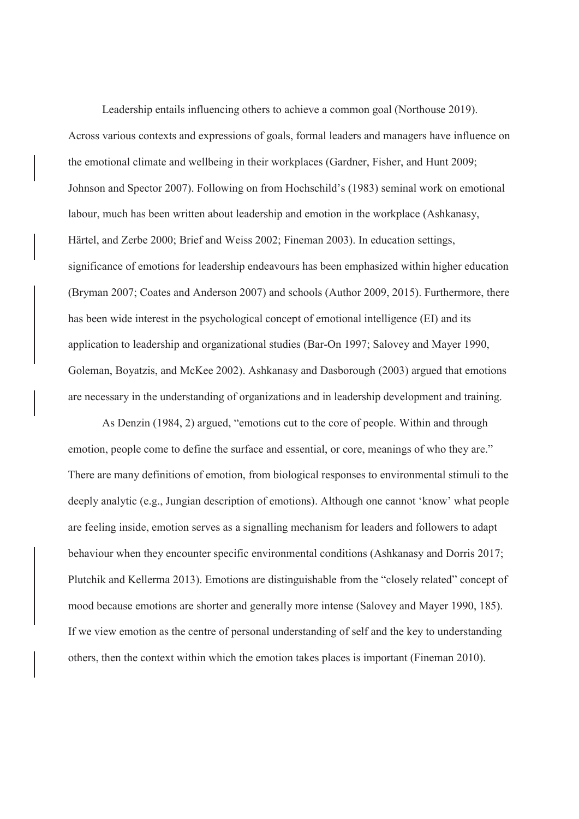Leadership entails influencing others to achieve a common goal (Northouse 2019). Across various contexts and expressions of goals, formal leaders and managers have influence on the emotional climate and wellbeing in their workplaces (Gardner, Fisher, and Hunt 2009; Johnson and Spector 2007). Following on from Hochschild's (1983) seminal work on emotional labour, much has been written about leadership and emotion in the workplace (Ashkanasy, Härtel, and Zerbe 2000; Brief and Weiss 2002; Fineman 2003). In education settings, significance of emotions for leadership endeavours has been emphasized within higher education (Bryman 2007; Coates and Anderson 2007) and schools (Author 2009, 2015). Furthermore, there has been wide interest in the psychological concept of emotional intelligence (EI) and its application to leadership and organizational studies (Bar-On 1997; Salovey and Mayer 1990, Goleman, Boyatzis, and McKee 2002). Ashkanasy and Dasborough (2003) argued that emotions are necessary in the understanding of organizations and in leadership development and training.

As Denzin (1984, 2) argued, "emotions cut to the core of people. Within and through emotion, people come to define the surface and essential, or core, meanings of who they are." There are many definitions of emotion, from biological responses to environmental stimuli to the deeply analytic (e.g., Jungian description of emotions). Although one cannot 'know' what people are feeling inside, emotion serves as a signalling mechanism for leaders and followers to adapt behaviour when they encounter specific environmental conditions (Ashkanasy and Dorris 2017; Plutchik and Kellerma 2013). Emotions are distinguishable from the "closely related" concept of mood because emotions are shorter and generally more intense (Salovey and Mayer 1990, 185). If we view emotion as the centre of personal understanding of self and the key to understanding others, then the context within which the emotion takes places is important (Fineman 2010).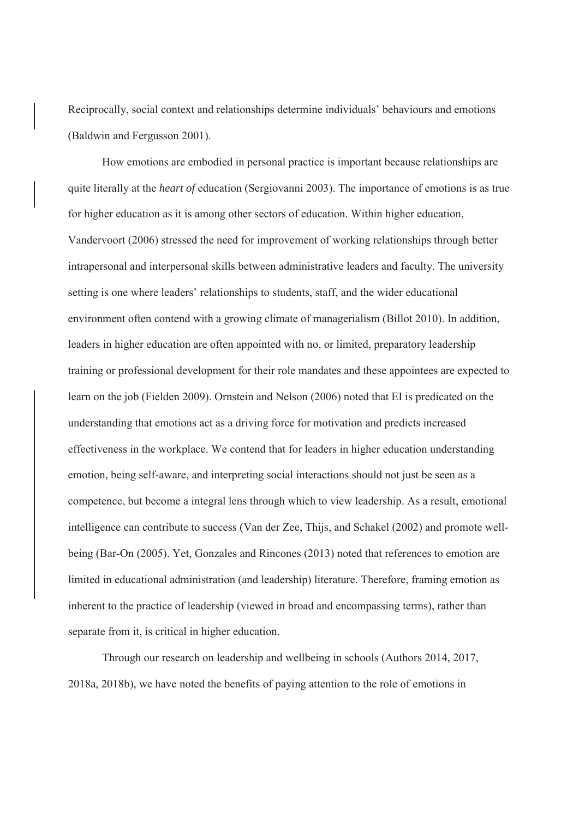Reciprocally, social context and relationships determine individuals' behaviours and emotions (Baldwin and Fergusson 2001).

How emotions are embodied in personal practice is important because relationships are quite literally at the *heart of* education (Sergiovanni 2003). The importance of emotions is as true for higher education as it is among other sectors of education. Within higher education, Vandervoort (2006) stressed the need for improvement of working relationships through better intrapersonal and interpersonal skills between administrative leaders and faculty. The university setting is one where leaders' relationships to students, staff, and the wider educational environment often contend with a growing climate of managerialism (Billot 2010). In addition, leaders in higher education are often appointed with no, or limited, preparatory leadership training or professional development for their role mandates and these appointees are expected to learn on the job (Fielden 2009). Ornstein and Nelson (2006) noted that EI is predicated on the understanding that emotions act as a driving force for motivation and predicts increased effectiveness in the workplace. We contend that for leaders in higher education understanding emotion, being self-aware, and interpreting social interactions should not just be seen as a competence, but become a integral lens through which to view leadership. As a result, emotional intelligence can contribute to success (Van der Zee, Thijs, and Schakel (2002) and promote wellbeing (Bar-On (2005). Yet, Gonzales and Rincones (2013) noted that references to emotion are limited in educational administration (and leadership) literature. Therefore, framing emotion as inherent to the practice of leadership (viewed in broad and encompassing terms), rather than separate from it, is critical in higher education.

Through our research on leadership and wellbeing in schools (Authors 2014, 2017, 2018a, 2018b), we have noted the benefits of paying attention to the role of emotions in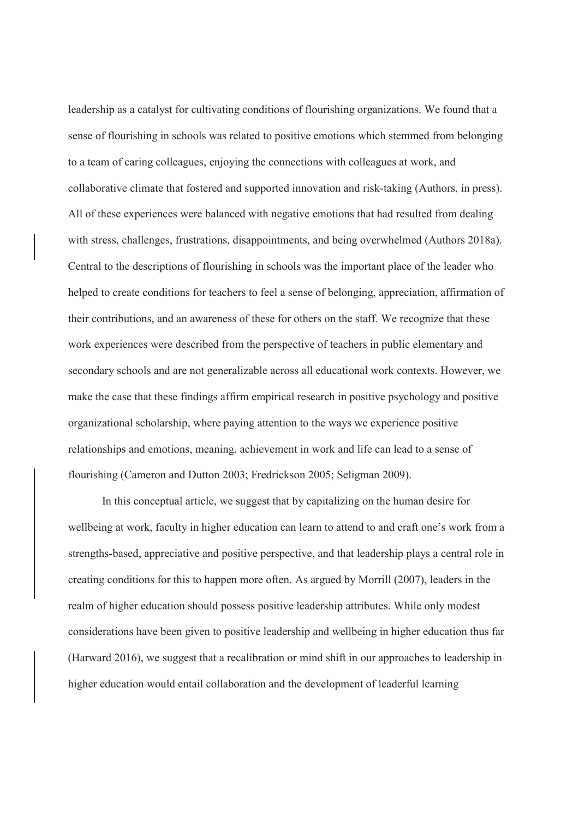leadership as a catalyst for cultivating conditions of flourishing organizations. We found that a sense of flourishing in schools was related to positive emotions which stemmed from belonging to a team of caring colleagues, enjoying the connections with colleagues at work, and collaborative climate that fostered and supported innovation and risk-taking (Authors, in press). All of these experiences were balanced with negative emotions that had resulted from dealing with stress, challenges, frustrations, disappointments, and being overwhelmed (Authors 2018a). Central to the descriptions of flourishing in schools was the important place of the leader who helped to create conditions for teachers to feel a sense of belonging, appreciation, affirmation of their contributions, and an awareness of these for others on the staff. We recognize that these work experiences were described from the perspective of teachers in public elementary and secondary schools and are not generalizable across all educational work contexts. However, we make the case that these findings affirm empirical research in positive psychology and positive organizational scholarship, where paying attention to the ways we experience positive relationships and emotions, meaning, achievement in work and life can lead to a sense of flourishing (Cameron and Dutton 2003; Fredrickson 2005; Seligman 2009).

In this conceptual article, we suggest that by capitalizing on the human desire for wellbeing at work, faculty in higher education can learn to attend to and craft one's work from a strengths-based, appreciative and positive perspective, and that leadership plays a central role in creating conditions for this to happen more often. As argued by Morrill (2007), leaders in the realm of higher education should possess positive leadership attributes. While only modest considerations have been given to positive leadership and wellbeing in higher education thus far (Harward 2016), we suggest that a recalibration or mind shift in our approaches to leadership in higher education would entail collaboration and the development of leaderful learning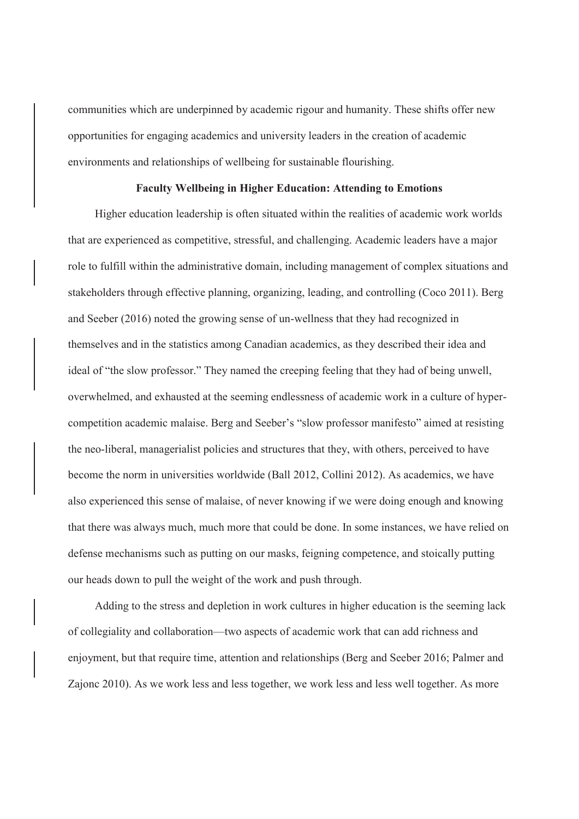communities which are underpinned by academic rigour and humanity. These shifts offer new opportunities for engaging academics and university leaders in the creation of academic environments and relationships of wellbeing for sustainable flourishing.

## **Faculty Wellbeing in Higher Education: Attending to Emotions**

Higher education leadership is often situated within the realities of academic work worlds that are experienced as competitive, stressful, and challenging. Academic leaders have a major role to fulfill within the administrative domain, including management of complex situations and stakeholders through effective planning, organizing, leading, and controlling (Coco 2011). Berg and Seeber (2016) noted the growing sense of un-wellness that they had recognized in themselves and in the statistics among Canadian academics, as they described their idea and ideal of "the slow professor." They named the creeping feeling that they had of being unwell, overwhelmed, and exhausted at the seeming endlessness of academic work in a culture of hypercompetition academic malaise. Berg and Seeber's "slow professor manifesto" aimed at resisting the neo-liberal, managerialist policies and structures that they, with others, perceived to have become the norm in universities worldwide (Ball 2012, Collini 2012). As academics, we have also experienced this sense of malaise, of never knowing if we were doing enough and knowing that there was always much, much more that could be done. In some instances, we have relied on defense mechanisms such as putting on our masks, feigning competence, and stoically putting our heads down to pull the weight of the work and push through.

Adding to the stress and depletion in work cultures in higher education is the seeming lack of collegiality and collaboration—two aspects of academic work that can add richness and enjoyment, but that require time, attention and relationships (Berg and Seeber 2016; Palmer and Zajonc 2010). As we work less and less together, we work less and less well together. As more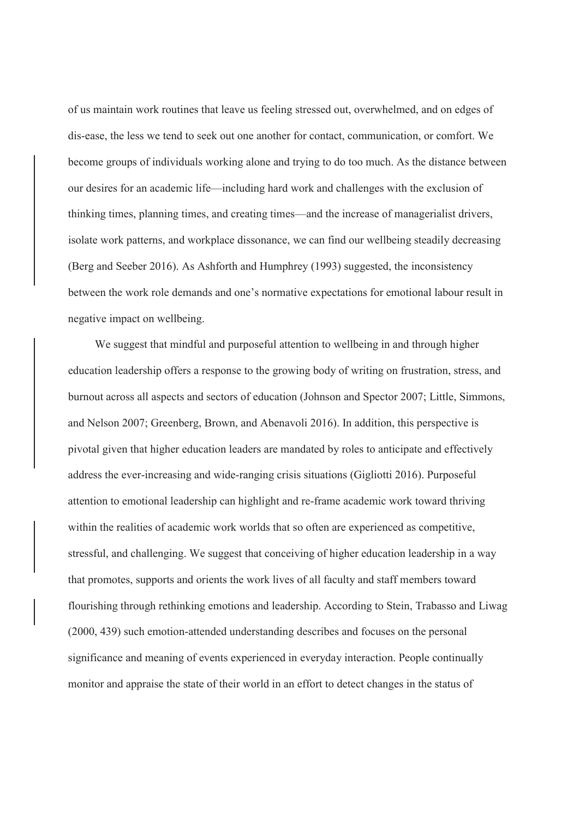of us maintain work routines that leave us feeling stressed out, overwhelmed, and on edges of dis-ease, the less we tend to seek out one another for contact, communication, or comfort. We become groups of individuals working alone and trying to do too much. As the distance between our desires for an academic life—including hard work and challenges with the exclusion of thinking times, planning times, and creating times—and the increase of managerialist drivers, isolate work patterns, and workplace dissonance, we can find our wellbeing steadily decreasing (Berg and Seeber 2016). As Ashforth and Humphrey (1993) suggested, the inconsistency between the work role demands and one's normative expectations for emotional labour result in negative impact on wellbeing.

We suggest that mindful and purposeful attention to wellbeing in and through higher education leadership offers a response to the growing body of writing on frustration, stress, and burnout across all aspects and sectors of education (Johnson and Spector 2007; Little, Simmons, and Nelson 2007; Greenberg, Brown, and Abenavoli 2016). In addition, this perspective is pivotal given that higher education leaders are mandated by roles to anticipate and effectively address the ever-increasing and wide-ranging crisis situations (Gigliotti 2016). Purposeful attention to emotional leadership can highlight and re-frame academic work toward thriving within the realities of academic work worlds that so often are experienced as competitive, stressful, and challenging. We suggest that conceiving of higher education leadership in a way that promotes, supports and orients the work lives of all faculty and staff members toward flourishing through rethinking emotions and leadership. According to Stein, Trabasso and Liwag (2000, 439) such emotion-attended understanding describes and focuses on the personal significance and meaning of events experienced in everyday interaction. People continually monitor and appraise the state of their world in an effort to detect changes in the status of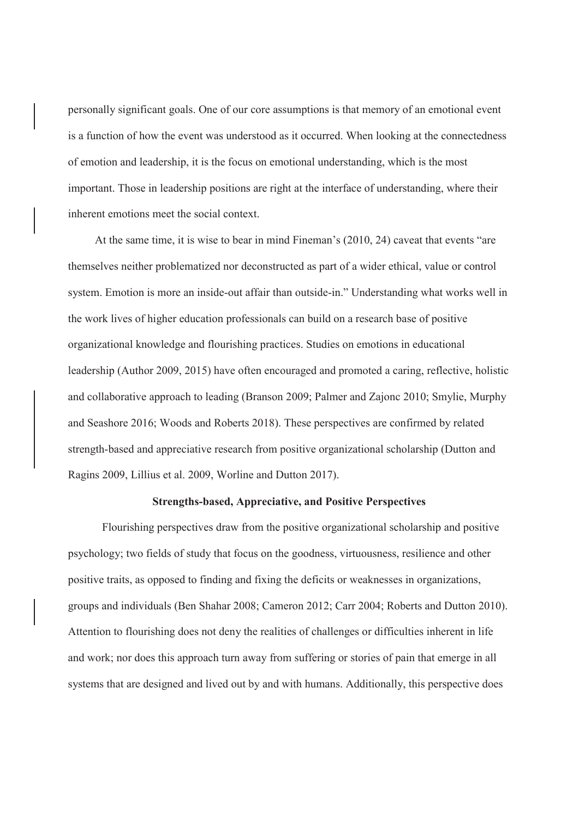personally significant goals. One of our core assumptions is that memory of an emotional event is a function of how the event was understood as it occurred. When looking at the connectedness of emotion and leadership, it is the focus on emotional understanding, which is the most important. Those in leadership positions are right at the interface of understanding, where their inherent emotions meet the social context.

At the same time, it is wise to bear in mind Fineman's (2010, 24) caveat that events "are themselves neither problematized nor deconstructed as part of a wider ethical, value or control system. Emotion is more an inside-out affair than outside-in." Understanding what works well in the work lives of higher education professionals can build on a research base of positive organizational knowledge and flourishing practices. Studies on emotions in educational leadership (Author 2009, 2015) have often encouraged and promoted a caring, reflective, holistic and collaborative approach to leading (Branson 2009; Palmer and Zajonc 2010; Smylie, Murphy and Seashore 2016; Woods and Roberts 2018). These perspectives are confirmed by related strength-based and appreciative research from positive organizational scholarship (Dutton and Ragins 2009, Lillius et al. 2009, Worline and Dutton 2017).

# **Strengths-based, Appreciative, and Positive Perspectives**

 Flourishing perspectives draw from the positive organizational scholarship and positive psychology; two fields of study that focus on the goodness, virtuousness, resilience and other positive traits, as opposed to finding and fixing the deficits or weaknesses in organizations, groups and individuals (Ben Shahar 2008; Cameron 2012; Carr 2004; Roberts and Dutton 2010). Attention to flourishing does not deny the realities of challenges or difficulties inherent in life and work; nor does this approach turn away from suffering or stories of pain that emerge in all systems that are designed and lived out by and with humans. Additionally, this perspective does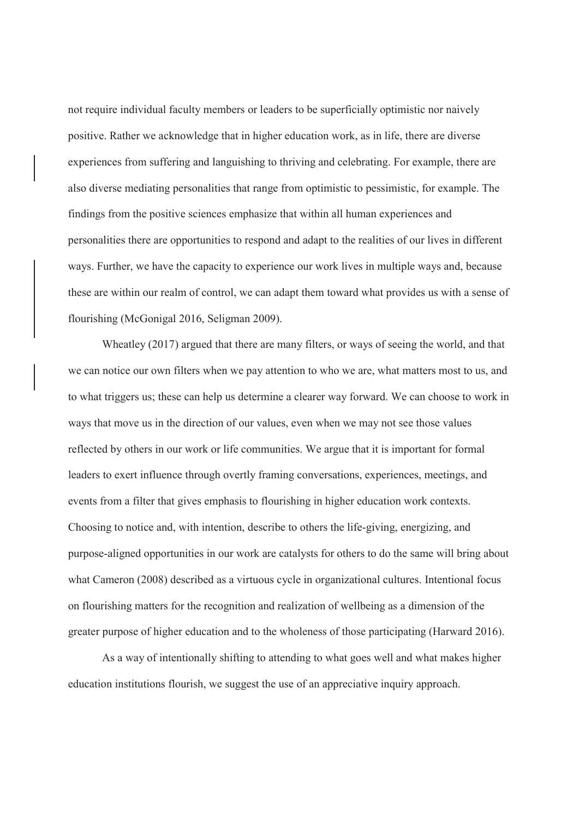not require individual faculty members or leaders to be superficially optimistic nor naively positive. Rather we acknowledge that in higher education work, as in life, there are diverse experiences from suffering and languishing to thriving and celebrating. For example, there are also diverse mediating personalities that range from optimistic to pessimistic, for example. The findings from the positive sciences emphasize that within all human experiences and personalities there are opportunities to respond and adapt to the realities of our lives in different ways. Further, we have the capacity to experience our work lives in multiple ways and, because these are within our realm of control, we can adapt them toward what provides us with a sense of flourishing (McGonigal 2016, Seligman 2009).

Wheatley (2017) argued that there are many filters, or ways of seeing the world, and that we can notice our own filters when we pay attention to who we are, what matters most to us, and to what triggers us; these can help us determine a clearer way forward. We can choose to work in ways that move us in the direction of our values, even when we may not see those values reflected by others in our work or life communities. We argue that it is important for formal leaders to exert influence through overtly framing conversations, experiences, meetings, and events from a filter that gives emphasis to flourishing in higher education work contexts. Choosing to notice and, with intention, describe to others the life-giving, energizing, and purpose-aligned opportunities in our work are catalysts for others to do the same will bring about what Cameron (2008) described as a virtuous cycle in organizational cultures. Intentional focus on flourishing matters for the recognition and realization of wellbeing as a dimension of the greater purpose of higher education and to the wholeness of those participating (Harward 2016).

As a way of intentionally shifting to attending to what goes well and what makes higher education institutions flourish, we suggest the use of an appreciative inquiry approach.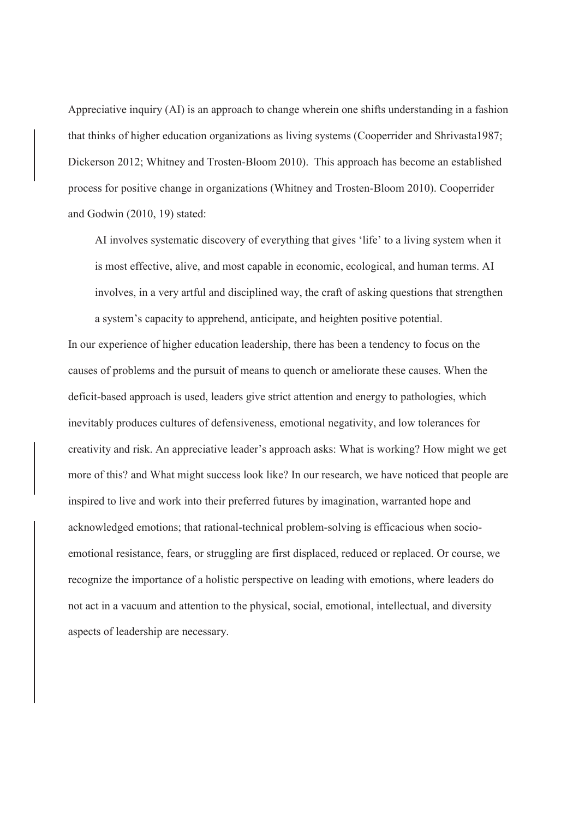Appreciative inquiry (AI) is an approach to change wherein one shifts understanding in a fashion that thinks of higher education organizations as living systems (Cooperrider and Shrivasta1987; Dickerson 2012; Whitney and Trosten-Bloom 2010). This approach has become an established process for positive change in organizations (Whitney and Trosten-Bloom 2010). Cooperrider and Godwin (2010, 19) stated:

AI involves systematic discovery of everything that gives 'life' to a living system when it is most effective, alive, and most capable in economic, ecological, and human terms. AI involves, in a very artful and disciplined way, the craft of asking questions that strengthen a system's capacity to apprehend, anticipate, and heighten positive potential.

In our experience of higher education leadership, there has been a tendency to focus on the causes of problems and the pursuit of means to quench or ameliorate these causes. When the deficit-based approach is used, leaders give strict attention and energy to pathologies, which inevitably produces cultures of defensiveness, emotional negativity, and low tolerances for creativity and risk. An appreciative leader's approach asks: What is working? How might we get more of this? and What might success look like? In our research, we have noticed that people are inspired to live and work into their preferred futures by imagination, warranted hope and acknowledged emotions; that rational-technical problem-solving is efficacious when socioemotional resistance, fears, or struggling are first displaced, reduced or replaced. Or course, we recognize the importance of a holistic perspective on leading with emotions, where leaders do not act in a vacuum and attention to the physical, social, emotional, intellectual, and diversity aspects of leadership are necessary.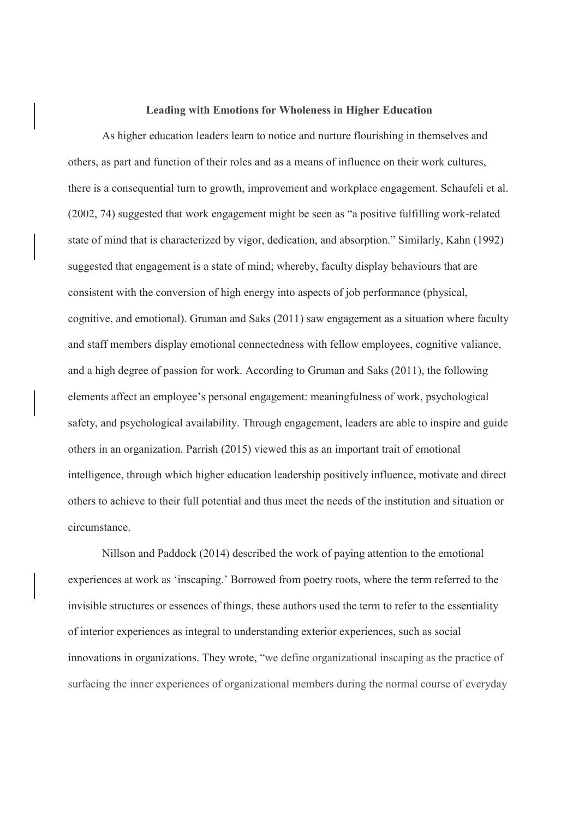#### **Leading with Emotions for Wholeness in Higher Education**

As higher education leaders learn to notice and nurture flourishing in themselves and others, as part and function of their roles and as a means of influence on their work cultures, there is a consequential turn to growth, improvement and workplace engagement. Schaufeli et al. (2002, 74) suggested that work engagement might be seen as "a positive fulfilling work-related state of mind that is characterized by vigor, dedication, and absorption." Similarly, Kahn (1992) suggested that engagement is a state of mind; whereby, faculty display behaviours that are consistent with the conversion of high energy into aspects of job performance (physical, cognitive, and emotional). Gruman and Saks (2011) saw engagement as a situation where faculty and staff members display emotional connectedness with fellow employees, cognitive valiance, and a high degree of passion for work. According to Gruman and Saks (2011), the following elements affect an employee's personal engagement: meaningfulness of work, psychological safety, and psychological availability. Through engagement, leaders are able to inspire and guide others in an organization. Parrish (2015) viewed this as an important trait of emotional intelligence, through which higher education leadership positively influence, motivate and direct others to achieve to their full potential and thus meet the needs of the institution and situation or circumstance.

Nillson and Paddock (2014) described the work of paying attention to the emotional experiences at work as 'inscaping.' Borrowed from poetry roots, where the term referred to the invisible structures or essences of things, these authors used the term to refer to the essentiality of interior experiences as integral to understanding exterior experiences, such as social innovations in organizations. They wrote, "we define organizational inscaping as the practice of surfacing the inner experiences of organizational members during the normal course of everyday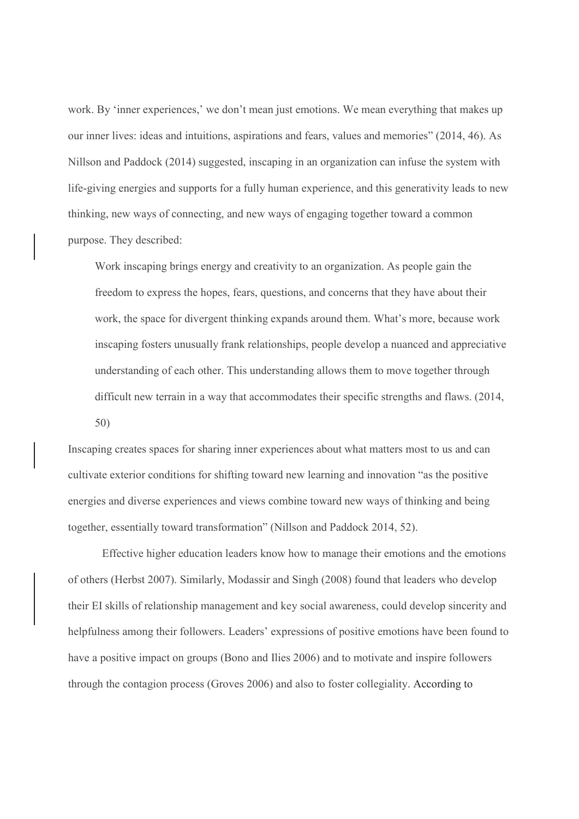work. By 'inner experiences,' we don't mean just emotions. We mean everything that makes up our inner lives: ideas and intuitions, aspirations and fears, values and memories" (2014, 46). As Nillson and Paddock (2014) suggested, inscaping in an organization can infuse the system with life-giving energies and supports for a fully human experience, and this generativity leads to new thinking, new ways of connecting, and new ways of engaging together toward a common purpose. They described:

Work inscaping brings energy and creativity to an organization. As people gain the freedom to express the hopes, fears, questions, and concerns that they have about their work, the space for divergent thinking expands around them. What's more, because work inscaping fosters unusually frank relationships, people develop a nuanced and appreciative understanding of each other. This understanding allows them to move together through difficult new terrain in a way that accommodates their specific strengths and flaws. (2014, 50)

Inscaping creates spaces for sharing inner experiences about what matters most to us and can cultivate exterior conditions for shifting toward new learning and innovation "as the positive energies and diverse experiences and views combine toward new ways of thinking and being together, essentially toward transformation" (Nillson and Paddock 2014, 52).

Effective higher education leaders know how to manage their emotions and the emotions of others (Herbst 2007). Similarly, Modassir and Singh (2008) found that leaders who develop their EI skills of relationship management and key social awareness, could develop sincerity and helpfulness among their followers. Leaders' expressions of positive emotions have been found to have a positive impact on groups (Bono and Ilies 2006) and to motivate and inspire followers through the contagion process (Groves 2006) and also to foster collegiality. According to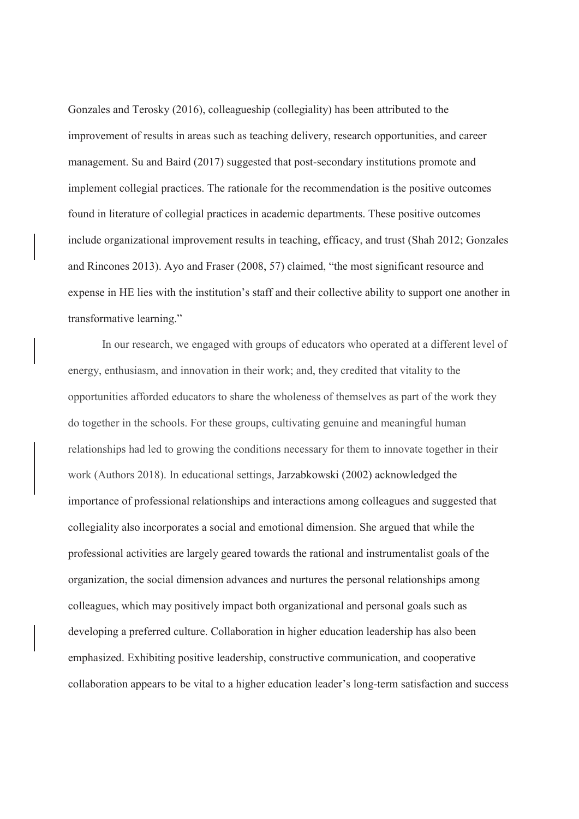Gonzales and Terosky (2016), colleagueship (collegiality) has been attributed to the improvement of results in areas such as teaching delivery, research opportunities, and career management. Su and Baird (2017) suggested that post-secondary institutions promote and implement collegial practices. The rationale for the recommendation is the positive outcomes found in literature of collegial practices in academic departments. These positive outcomes include organizational improvement results in teaching, efficacy, and trust (Shah 2012; Gonzales and Rincones 2013). Ayo and Fraser (2008, 57) claimed, "the most significant resource and expense in HE lies with the institution's staff and their collective ability to support one another in transformative learning."

 In our research, we engaged with groups of educators who operated at a different level of energy, enthusiasm, and innovation in their work; and, they credited that vitality to the opportunities afforded educators to share the wholeness of themselves as part of the work they do together in the schools. For these groups, cultivating genuine and meaningful human relationships had led to growing the conditions necessary for them to innovate together in their work (Authors 2018). In educational settings, Jarzabkowski (2002) acknowledged the importance of professional relationships and interactions among colleagues and suggested that collegiality also incorporates a social and emotional dimension. She argued that while the professional activities are largely geared towards the rational and instrumentalist goals of the organization, the social dimension advances and nurtures the personal relationships among colleagues, which may positively impact both organizational and personal goals such as developing a preferred culture. Collaboration in higher education leadership has also been emphasized. Exhibiting positive leadership, constructive communication, and cooperative collaboration appears to be vital to a higher education leader's long-term satisfaction and success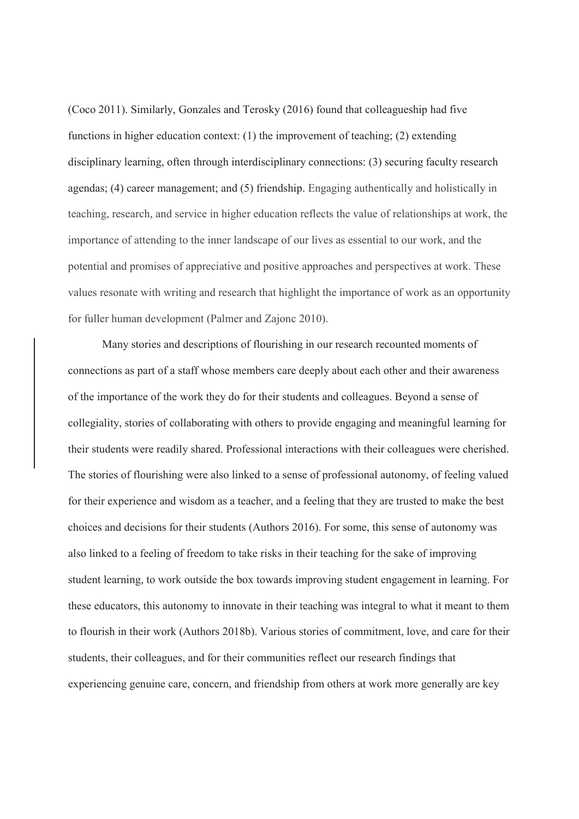(Coco 2011). Similarly, Gonzales and Terosky (2016) found that colleagueship had five functions in higher education context: (1) the improvement of teaching; (2) extending disciplinary learning, often through interdisciplinary connections: (3) securing faculty research agendas; (4) career management; and (5) friendship. Engaging authentically and holistically in teaching, research, and service in higher education reflects the value of relationships at work, the importance of attending to the inner landscape of our lives as essential to our work, and the potential and promises of appreciative and positive approaches and perspectives at work. These values resonate with writing and research that highlight the importance of work as an opportunity for fuller human development (Palmer and Zajonc 2010).

Many stories and descriptions of flourishing in our research recounted moments of connections as part of a staff whose members care deeply about each other and their awareness of the importance of the work they do for their students and colleagues. Beyond a sense of collegiality, stories of collaborating with others to provide engaging and meaningful learning for their students were readily shared. Professional interactions with their colleagues were cherished. The stories of flourishing were also linked to a sense of professional autonomy, of feeling valued for their experience and wisdom as a teacher, and a feeling that they are trusted to make the best choices and decisions for their students (Authors 2016). For some, this sense of autonomy was also linked to a feeling of freedom to take risks in their teaching for the sake of improving student learning, to work outside the box towards improving student engagement in learning. For these educators, this autonomy to innovate in their teaching was integral to what it meant to them to flourish in their work (Authors 2018b). Various stories of commitment, love, and care for their students, their colleagues, and for their communities reflect our research findings that experiencing genuine care, concern, and friendship from others at work more generally are key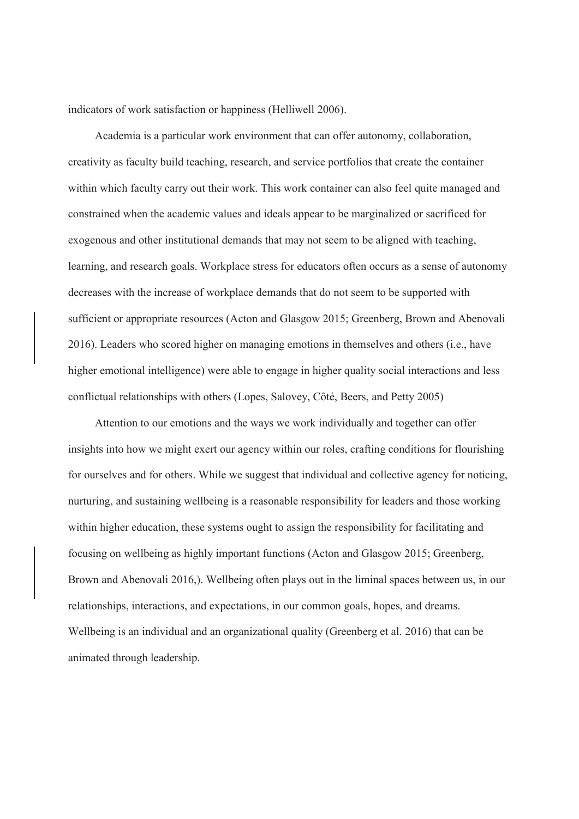indicators of work satisfaction or happiness (Helliwell 2006).

Academia is a particular work environment that can offer autonomy, collaboration, creativity as faculty build teaching, research, and service portfolios that create the container within which faculty carry out their work. This work container can also feel quite managed and constrained when the academic values and ideals appear to be marginalized or sacrificed for exogenous and other institutional demands that may not seem to be aligned with teaching, learning, and research goals. Workplace stress for educators often occurs as a sense of autonomy decreases with the increase of workplace demands that do not seem to be supported with sufficient or appropriate resources (Acton and Glasgow 2015; Greenberg, Brown and Abenovali 2016). Leaders who scored higher on managing emotions in themselves and others (i.e., have higher emotional intelligence) were able to engage in higher quality social interactions and less conflictual relationships with others (Lopes, Salovey, Côté, Beers, and Petty 2005)

Attention to our emotions and the ways we work individually and together can offer insights into how we might exert our agency within our roles, crafting conditions for flourishing for ourselves and for others. While we suggest that individual and collective agency for noticing, nurturing, and sustaining wellbeing is a reasonable responsibility for leaders and those working within higher education, these systems ought to assign the responsibility for facilitating and focusing on wellbeing as highly important functions (Acton and Glasgow 2015; Greenberg, Brown and Abenovali 2016,). Wellbeing often plays out in the liminal spaces between us, in our relationships, interactions, and expectations, in our common goals, hopes, and dreams. Wellbeing is an individual and an organizational quality (Greenberg et al. 2016) that can be animated through leadership.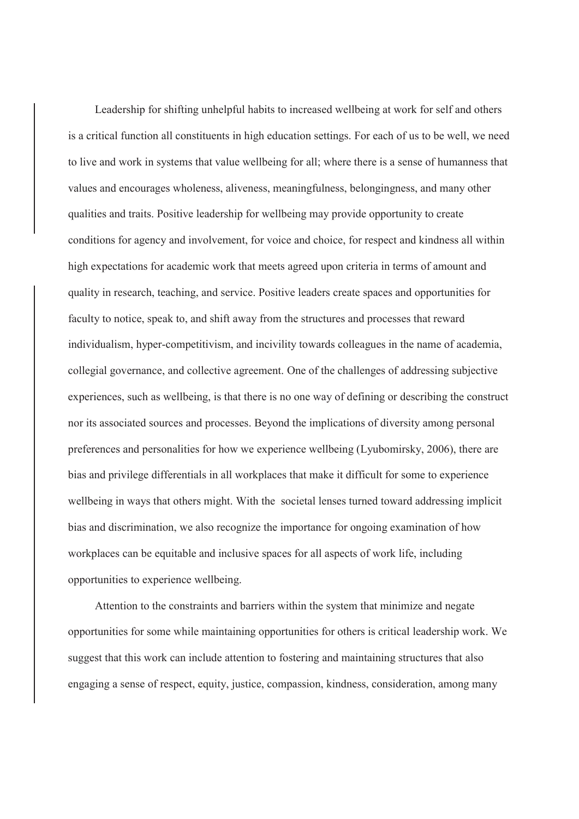Leadership for shifting unhelpful habits to increased wellbeing at work for self and others is a critical function all constituents in high education settings. For each of us to be well, we need to live and work in systems that value wellbeing for all; where there is a sense of humanness that values and encourages wholeness, aliveness, meaningfulness, belongingness, and many other qualities and traits. Positive leadership for wellbeing may provide opportunity to create conditions for agency and involvement, for voice and choice, for respect and kindness all within high expectations for academic work that meets agreed upon criteria in terms of amount and quality in research, teaching, and service. Positive leaders create spaces and opportunities for faculty to notice, speak to, and shift away from the structures and processes that reward individualism, hyper-competitivism, and incivility towards colleagues in the name of academia, collegial governance, and collective agreement. One of the challenges of addressing subjective experiences, such as wellbeing, is that there is no one way of defining or describing the construct nor its associated sources and processes. Beyond the implications of diversity among personal preferences and personalities for how we experience wellbeing (Lyubomirsky, 2006), there are bias and privilege differentials in all workplaces that make it difficult for some to experience wellbeing in ways that others might. With the societal lenses turned toward addressing implicit bias and discrimination, we also recognize the importance for ongoing examination of how workplaces can be equitable and inclusive spaces for all aspects of work life, including opportunities to experience wellbeing.

Attention to the constraints and barriers within the system that minimize and negate opportunities for some while maintaining opportunities for others is critical leadership work. We suggest that this work can include attention to fostering and maintaining structures that also engaging a sense of respect, equity, justice, compassion, kindness, consideration, among many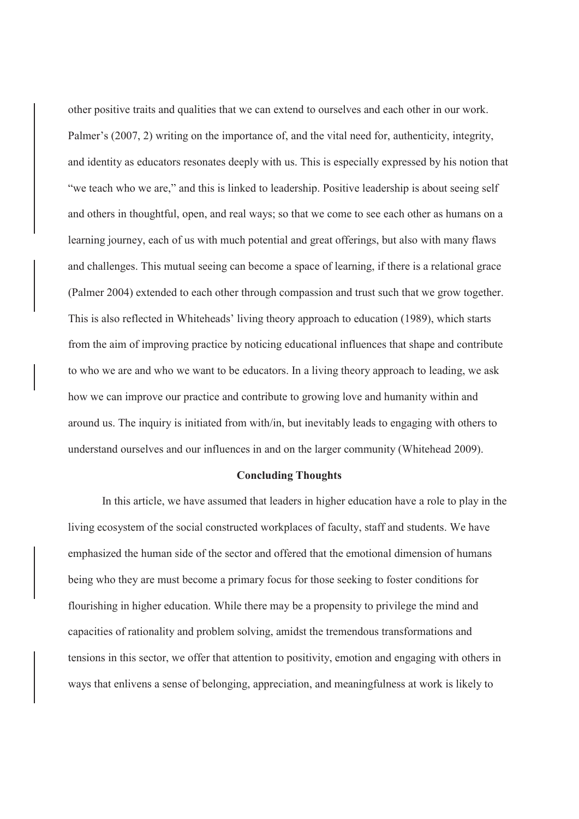other positive traits and qualities that we can extend to ourselves and each other in our work. Palmer's (2007, 2) writing on the importance of, and the vital need for, authenticity, integrity, and identity as educators resonates deeply with us. This is especially expressed by his notion that "we teach who we are," and this is linked to leadership. Positive leadership is about seeing self and others in thoughtful, open, and real ways; so that we come to see each other as humans on a learning journey, each of us with much potential and great offerings, but also with many flaws and challenges. This mutual seeing can become a space of learning, if there is a relational grace (Palmer 2004) extended to each other through compassion and trust such that we grow together. This is also reflected in Whiteheads' living theory approach to education (1989), which starts from the aim of improving practice by noticing educational influences that shape and contribute to who we are and who we want to be educators. In a living theory approach to leading, we ask how we can improve our practice and contribute to growing love and humanity within and around us. The inquiry is initiated from with/in, but inevitably leads to engaging with others to understand ourselves and our influences in and on the larger community (Whitehead 2009).

#### **Concluding Thoughts**

 In this article, we have assumed that leaders in higher education have a role to play in the living ecosystem of the social constructed workplaces of faculty, staff and students. We have emphasized the human side of the sector and offered that the emotional dimension of humans being who they are must become a primary focus for those seeking to foster conditions for flourishing in higher education. While there may be a propensity to privilege the mind and capacities of rationality and problem solving, amidst the tremendous transformations and tensions in this sector, we offer that attention to positivity, emotion and engaging with others in ways that enlivens a sense of belonging, appreciation, and meaningfulness at work is likely to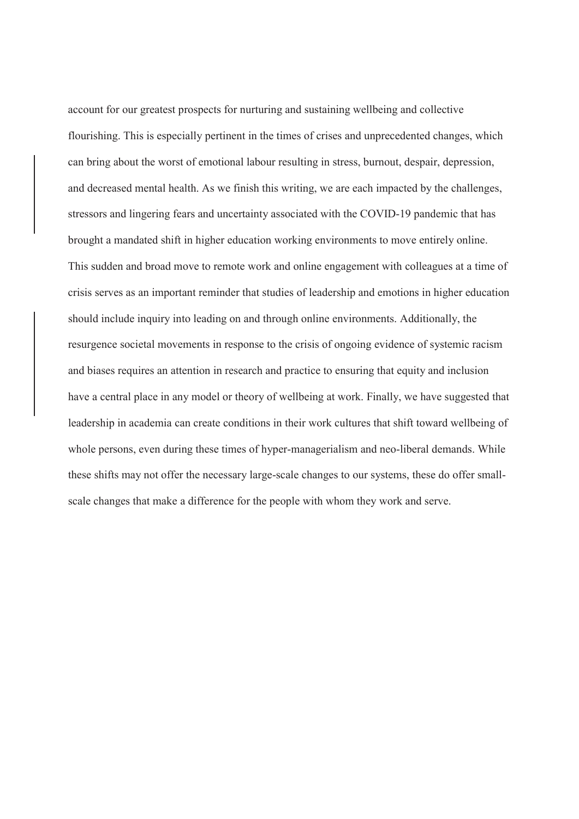account for our greatest prospects for nurturing and sustaining wellbeing and collective flourishing. This is especially pertinent in the times of crises and unprecedented changes, which can bring about the worst of emotional labour resulting in stress, burnout, despair, depression, and decreased mental health. As we finish this writing, we are each impacted by the challenges, stressors and lingering fears and uncertainty associated with the COVID-19 pandemic that has brought a mandated shift in higher education working environments to move entirely online. This sudden and broad move to remote work and online engagement with colleagues at a time of crisis serves as an important reminder that studies of leadership and emotions in higher education should include inquiry into leading on and through online environments. Additionally, the resurgence societal movements in response to the crisis of ongoing evidence of systemic racism and biases requires an attention in research and practice to ensuring that equity and inclusion have a central place in any model or theory of wellbeing at work. Finally, we have suggested that leadership in academia can create conditions in their work cultures that shift toward wellbeing of whole persons, even during these times of hyper-managerialism and neo-liberal demands. While these shifts may not offer the necessary large-scale changes to our systems, these do offer smallscale changes that make a difference for the people with whom they work and serve.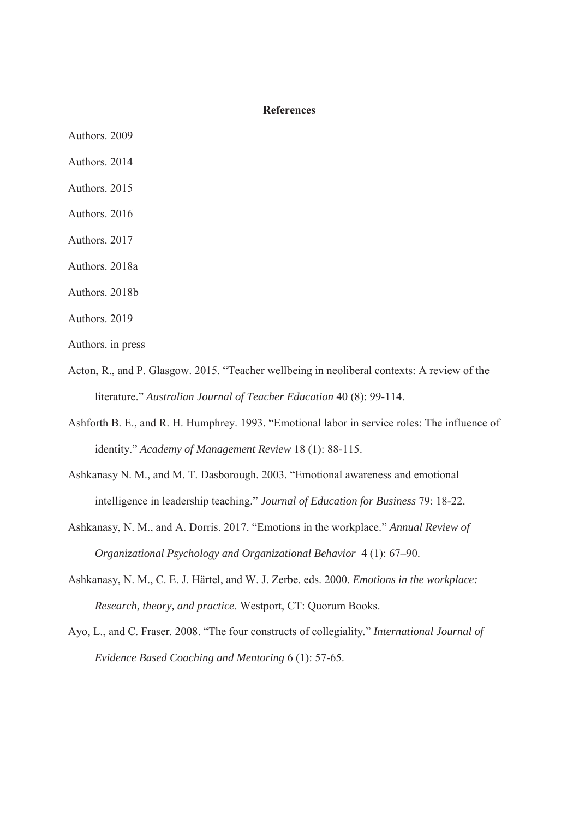## **References**

- Authors. 2009
- Authors. 2014
- Authors. 2015
- Authors. 2016
- Authors. 2017
- Authors. 2018a
- Authors. 2018b
- Authors. 2019
- Authors. in press
- Acton, R., and P. Glasgow. 2015. "Teacher wellbeing in neoliberal contexts: A review of the literature." *Australian Journal of Teacher Education* 40 (8): 99-114.
- Ashforth B. E., and R. H. Humphrey. 1993. "Emotional labor in service roles: The influence of identity." *Academy of Management Review* 18 (1): 88-115.
- Ashkanasy N. M., and M. T. Dasborough. 2003. "Emotional awareness and emotional intelligence in leadership teaching." *Journal of Education for Business* 79: 18-22.
- Ashkanasy, N. M., and A. Dorris. 2017. "Emotions in the workplace." *Annual Review of Organizational Psychology and Organizational Behavior* 4 (1): 67–90.
- Ashkanasy, N. M., C. E. J. Härtel, and W. J. Zerbe. eds. 2000. *Emotions in the workplace: Research, theory, and practice*. Westport, CT: Quorum Books.
- Ayo, L., and C. Fraser. 2008. "The four constructs of collegiality*.*" *International Journal of Evidence Based Coaching and Mentoring* 6 (1): 57-65.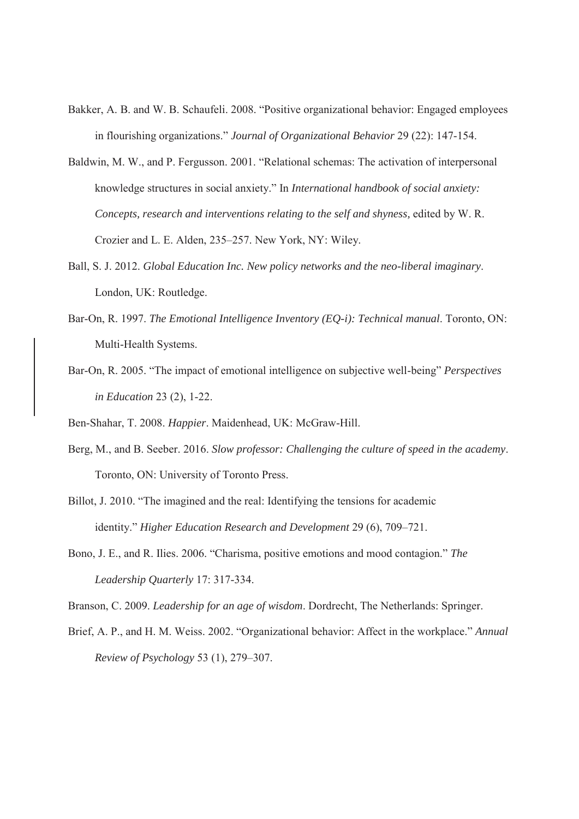- Bakker, A. B. and W. B. Schaufeli. 2008. "Positive organizational behavior: Engaged employees in flourishing organizations." *Journal of Organizational Behavior* 29 (22): 147-154.
- Baldwin, M. W., and P. Fergusson. 2001. "Relational schemas: The activation of interpersonal knowledge structures in social anxiety." In *International handbook of social anxiety: Concepts, research and interventions relating to the self and shyness,* edited by W. R. Crozier and L. E. Alden, 235–257. New York, NY: Wiley.
- Ball, S. J. 2012. *Global Education Inc. New policy networks and the neo-liberal imaginary*. London, UK: Routledge.
- Bar-On, R. 1997. *The Emotional Intelligence Inventory (EQ-i): Technical manual*. Toronto, ON: Multi-Health Systems.
- Bar-On, R. 2005. "The impact of emotional intelligence on subjective well-being" *Perspectives in Education* 23 (2), 1-22.

Ben-Shahar, T. 2008. *Happier*. Maidenhead, UK: McGraw-Hill.

- Berg, M., and B. Seeber. 2016. *Slow professor: Challenging the culture of speed in the academy*. Toronto, ON: University of Toronto Press.
- Billot, J. 2010. "The imagined and the real: Identifying the tensions for academic identity." *Higher Education Research and Development* 29 (6), 709–721.
- Bono, J. E., and R. Ilies. 2006. "Charisma, positive emotions and mood contagion." *The Leadership Quarterly* 17: 317-334.

Branson, C. 2009. *Leadership for an age of wisdom*. Dordrecht, The Netherlands: Springer.

Brief, A. P., and H. M. Weiss. 2002. "Organizational behavior: Affect in the workplace." *Annual Review of Psychology* 53 (1), 279–307.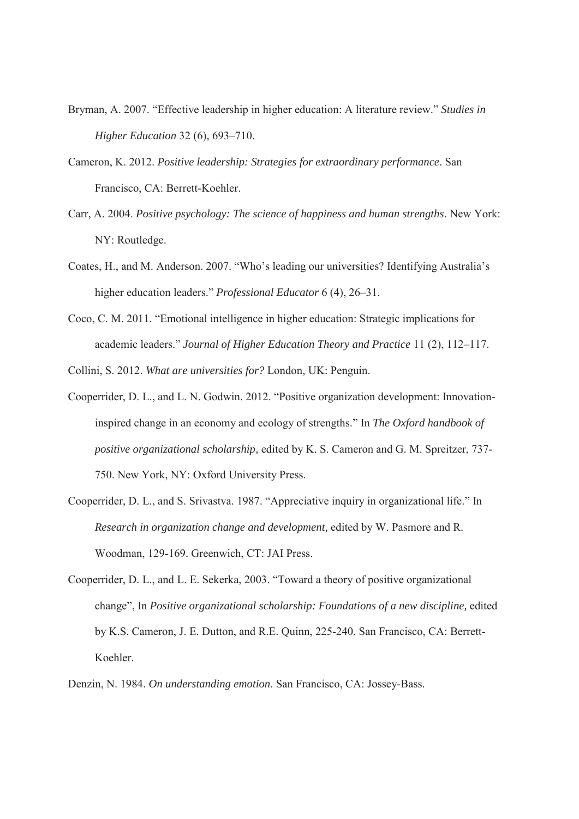- Bryman, A. 2007. "Effective leadership in higher education: A literature review." *Studies in Higher Education* 32 (6), 693–710.
- Cameron, K. 2012. *Positive leadership: Strategies for extraordinary performance*. San Francisco, CA: Berrett-Koehler.
- Carr, A. 2004. *Positive psychology: The science of happiness and human strengths*. New York: NY: Routledge.
- Coates, H., and M. Anderson. 2007. "Who's leading our universities? Identifying Australia's higher education leaders." *Professional Educator* 6 (4), 26–31.
- Coco, C. M. 2011. "Emotional intelligence in higher education: Strategic implications for academic leaders." *Journal of Higher Education Theory and Practice* 11 (2), 112–117.
- Collini, S. 2012. *What are universities for?* London, UK: Penguin.
- Cooperrider, D. L., and L. N. Godwin. 2012. "Positive organization development: Innovationinspired change in an economy and ecology of strengths." In *The Oxford handbook of positive organizational scholarship,* edited by K. S. Cameron and G. M. Spreitzer, 737- 750. New York, NY: Oxford University Press.
- Cooperrider, D. L., and S. Srivastva. 1987. "Appreciative inquiry in organizational life." In *Research in organization change and development,* edited by W. Pasmore and R. Woodman, 129-169. Greenwich, CT: JAI Press.
- Cooperrider, D. L., and L. E. Sekerka, 2003. "Toward a theory of positive organizational change", In *Positive organizational scholarship: Foundations of a new discipline,* edited by K.S. Cameron, J. E. Dutton, and R.E. Quinn, 225-240*.* San Francisco, CA: Berrett-Koehler.
- Denzin, N. 1984. *On understanding emotion*. San Francisco, CA: Jossey-Bass.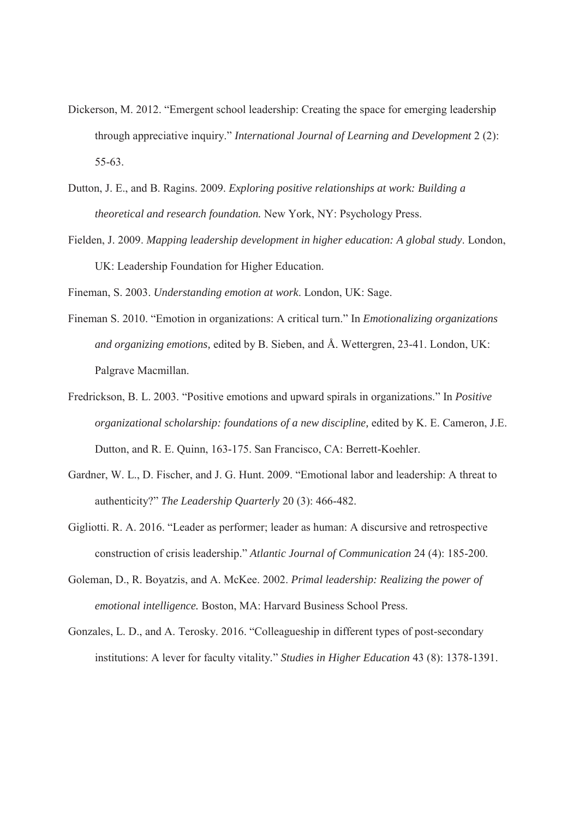- Dickerson, M. 2012. "Emergent school leadership: Creating the space for emerging leadership through appreciative inquiry." *International Journal of Learning and Development* 2 (2): 55-63.
- Dutton, J. E., and B. Ragins. 2009. *Exploring positive relationships at work: Building a theoretical and research foundation.* New York, NY: Psychology Press.
- Fielden, J. 2009. *Mapping leadership development in higher education: A global study*. London, UK: Leadership Foundation for Higher Education.

Fineman, S. 2003. *Understanding emotion at work*. London, UK: Sage.

- Fineman S. 2010. "Emotion in organizations: A critical turn." In *Emotionalizing organizations and organizing emotions,* edited by B. Sieben, and Å. Wettergren, 23-41. London, UK: Palgrave Macmillan.
- Fredrickson, B. L. 2003. "Positive emotions and upward spirals in organizations." In *Positive organizational scholarship: foundations of a new discipline,* edited by K. E. Cameron, J.E. Dutton, and R. E. Quinn, 163-175. San Francisco, CA: Berrett-Koehler.
- Gardner, W. L., D. Fischer, and J. G. Hunt. 2009. "Emotional labor and leadership: A threat to authenticity?" *The Leadership Quarterly* 20 (3): 466-482.
- Gigliotti. R. A. 2016. "Leader as performer; leader as human: A discursive and retrospective construction of crisis leadership." *Atlantic Journal of Communication* 24 (4): 185-200.
- Goleman, D., R. Boyatzis, and A. McKee. 2002. *Primal leadership: Realizing the power of emotional intelligence.* Boston, MA: Harvard Business School Press.
- Gonzales, L. D., and A. Terosky. 2016. "Colleagueship in different types of post-secondary institutions: A lever for faculty vitality*.*" *Studies in Higher Education* 43 (8): 1378-1391.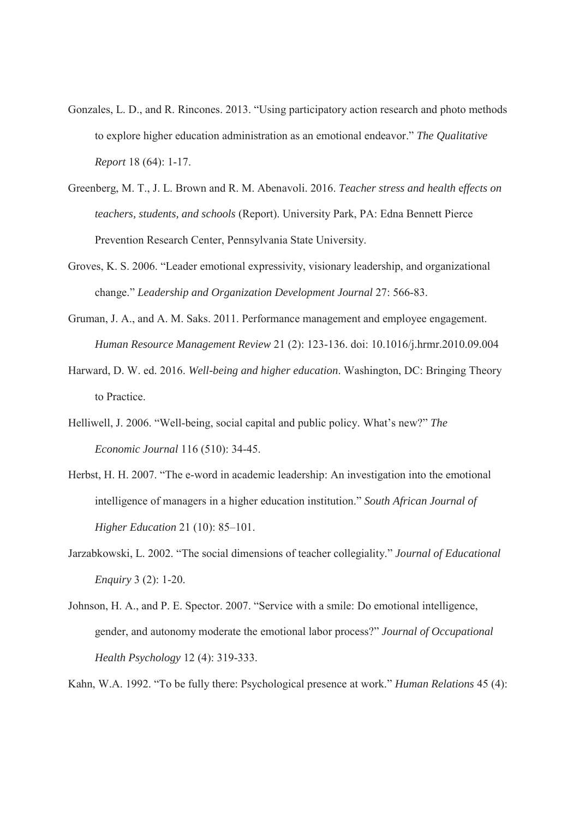- Gonzales, L. D., and R. Rincones. 2013. "Using participatory action research and photo methods to explore higher education administration as an emotional endeavor." *The Qualitative Report* 18 (64): 1-17.
- Greenberg, M. T., J. L. Brown and R. M. Abenavoli. 2016. *Teacher stress and health* e*ffects on teachers, students, and schools* (Report). University Park, PA: Edna Bennett Pierce Prevention Research Center, Pennsylvania State University.
- Groves, K. S. 2006. "Leader emotional expressivity, visionary leadership, and organizational change." *Leadership and Organization Development Journal* 27: 566-83.
- Gruman, J. A., and A. M. Saks. 2011. Performance management and employee engagement. *Human Resource Management Review* 21 (2): 123-136. doi: 10.1016/j.hrmr.2010.09.004
- Harward, D. W. ed. 2016. *Well-being and higher education*. Washington, DC: Bringing Theory to Practice.
- Helliwell, J. 2006. "Well-being, social capital and public policy. What's new?" *The Economic Journal* 116 (510): 34-45.
- Herbst, H. H. 2007. "The e-word in academic leadership: An investigation into the emotional intelligence of managers in a higher education institution." *South African Journal of Higher Education* 21 (10): 85–101.
- Jarzabkowski, L. 2002. "The social dimensions of teacher collegiality." *Journal of Educational Enquiry* 3 (2): 1-20.
- Johnson, H. A., and P. E. Spector. 2007. "Service with a smile: Do emotional intelligence, gender, and autonomy moderate the emotional labor process?" *Journal of Occupational Health Psychology* 12 (4): 319-333.

Kahn, W.A. 1992. "To be fully there: Psychological presence at work." *Human Relations* 45 (4):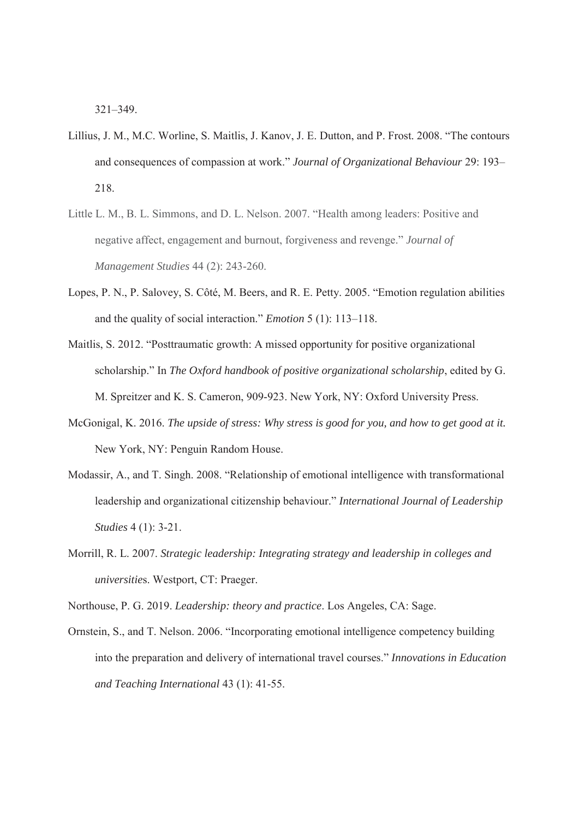321–349.

- Lillius, J. M., M.C. Worline, S. Maitlis, J. Kanov, J. E. Dutton, and P. Frost. 2008. "The contours and consequences of compassion at work." *Journal of Organizational Behaviour* 29: 193– 218.
- Little L. M., B. L. Simmons, and D. L. Nelson. 2007. "Health among leaders: Positive and negative affect, engagement and burnout, forgiveness and revenge." *Journal of Management Studies* 44 (2): 243-260.
- Lopes, P. N., P. Salovey, S. Côté, M. Beers, and R. E. Petty. 2005. "Emotion regulation abilities and the quality of social interaction." *Emotion* 5 (1): 113–118.
- Maitlis, S. 2012. "Posttraumatic growth: A missed opportunity for positive organizational scholarship." In *The Oxford handbook of positive organizational scholarship*, edited by G. M. Spreitzer and K. S. Cameron, 909-923. New York, NY: Oxford University Press.
- McGonigal, K. 2016. *The upside of stress: Why stress is good for you, and how to get good at it.* New York, NY: Penguin Random House.
- Modassir, A., and T. Singh. 2008. "Relationship of emotional intelligence with transformational leadership and organizational citizenship behaviour." *International Journal of Leadership Studies* 4 (1): 3-21.
- Morrill, R. L. 2007. *Strategic leadership: Integrating strategy and leadership in colleges and universitie*s. Westport, CT: Praeger.

Northouse, P. G. 2019. *Leadership: theory and practice*. Los Angeles, CA: Sage.

Ornstein, S., and T. Nelson. 2006. "Incorporating emotional intelligence competency building into the preparation and delivery of international travel courses." *Innovations in Education and Teaching International* 43 (1): 41-55.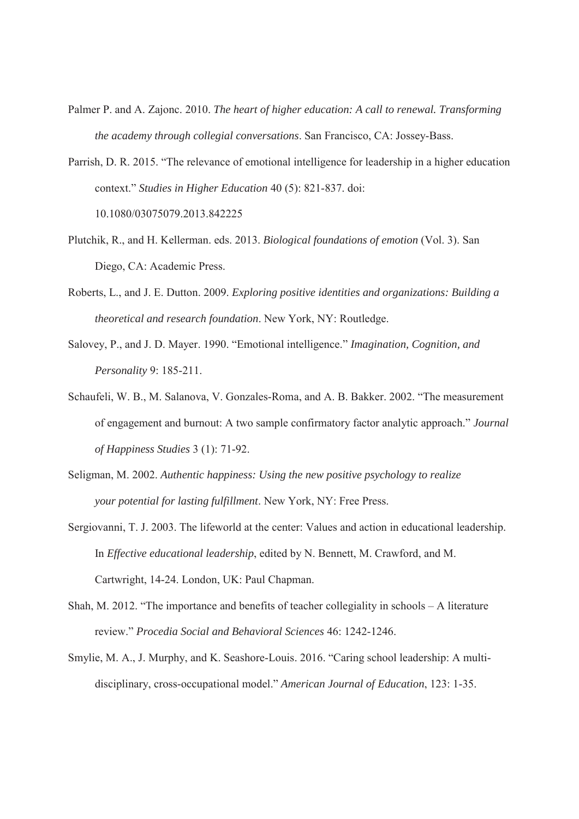- Palmer P. and A. Zajonc. 2010. *The heart of higher education: A call to renewal. Transforming the academy through collegial conversations*. San Francisco, CA: Jossey-Bass.
- Parrish, D. R. 2015. "The relevance of emotional intelligence for leadership in a higher education context." *Studies in Higher Education* 40 (5): 821-837. doi: 10.1080/03075079.2013.842225
- Plutchik, R., and H. Kellerman. eds. 2013. *Biological foundations of emotion* (Vol. 3). San Diego, CA: Academic Press.
- Roberts, L., and J. E. Dutton. 2009. *Exploring positive identities and organizations: Building a theoretical and research foundation*. New York, NY: Routledge.
- Salovey, P., and J. D. Mayer. 1990. "Emotional intelligence." *Imagination, Cognition, and Personality* 9: 185-211.
- Schaufeli, W. B., M. Salanova, V. Gonzales-Roma, and A. B. Bakker. 2002. "The measurement of engagement and burnout: A two sample confirmatory factor analytic approach." *Journal of Happiness Studies* 3 (1): 71-92.
- Seligman, M. 2002. *Authentic happiness: Using the new positive psychology to realize your potential for lasting fulfillment*. New York, NY: Free Press.
- Sergiovanni, T. J. 2003. The lifeworld at the center: Values and action in educational leadership. In *Effective educational leadership*, edited by N. Bennett, M. Crawford, and M. Cartwright, 14-24. London, UK: Paul Chapman.
- Shah, M. 2012. "The importance and benefits of teacher collegiality in schools A literature review." *Procedia Social and Behavioral Sciences* 46: 1242-1246.
- Smylie, M. A., J. Murphy, and K. Seashore-Louis. 2016. "Caring school leadership: A multidisciplinary, cross-occupational model." *American Journal of Education*, 123: 1-35.